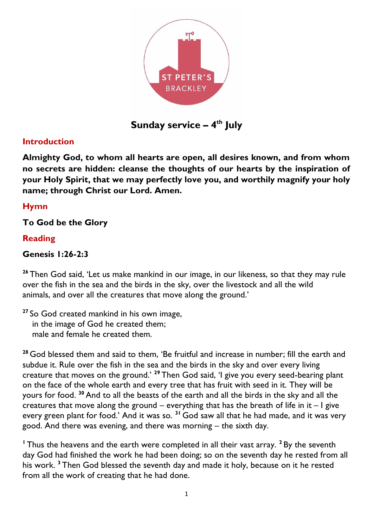

**Sunday service – 4 th July**

### **Introduction**

**Almighty God, to whom all hearts are open, all desires known, and from whom no secrets are hidden: cleanse the thoughts of our hearts by the inspiration of your Holy Spirit, that we may perfectly love you, and worthily magnify your holy name; through Christ our Lord. Amen.**

### **Hymn**

**To God be the Glory**

### **Reading**

#### **Genesis 1:26-2:3**

**<sup>26</sup>** Then God said, 'Let us make mankind in our image, in our likeness, so that they may rule over the fish in the sea and the birds in the sky, over the livestock and all the wild animals, and over all the creatures that move along the ground.'

**<sup>27</sup>** So God created mankind in his own image, in the image of God he created them; male and female he created them.

**<sup>28</sup>** God blessed them and said to them, 'Be fruitful and increase in number; fill the earth and subdue it. Rule over the fish in the sea and the birds in the sky and over every living creature that moves on the ground.' **<sup>29</sup>** Then God said, 'I give you every seed-bearing plant on the face of the whole earth and every tree that has fruit with seed in it. They will be yours for food. **<sup>30</sup>** And to all the beasts of the earth and all the birds in the sky and all the creatures that move along the ground – everything that has the breath of life in it  $-1$  give every green plant for food.' And it was so. **<sup>31</sup>** God saw all that he had made, and it was very good. And there was evening, and there was morning – the sixth day.

**<sup>1</sup>**Thus the heavens and the earth were completed in all their vast array. **<sup>2</sup>** By the seventh day God had finished the work he had been doing; so on the seventh day he rested from all his work. **<sup>3</sup>** Then God blessed the seventh day and made it holy, because on it he rested from all the work of creating that he had done.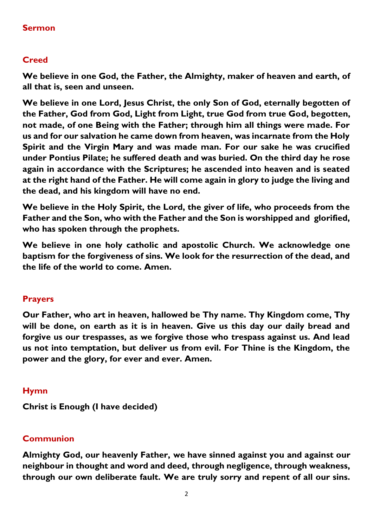#### **Sermon**

#### **Creed**

**We believe in one God, the Father, the Almighty, maker of heaven and earth, of all that is, seen and unseen.** 

**We believe in one Lord, Jesus Christ, the only Son of God, eternally begotten of the Father, God from God, Light from Light, true God from true God, begotten, not made, of one Being with the Father; through him all things were made. For us and for our salvation he came down from heaven, was incarnate from the Holy Spirit and the Virgin Mary and was made man. For our sake he was crucified under Pontius Pilate; he suffered death and was buried. On the third day he rose again in accordance with the Scriptures; he ascended into heaven and is seated at the right hand of the Father. He will come again in glory to judge the living and the dead, and his kingdom will have no end.**

**We believe in the Holy Spirit, the Lord, the giver of life, who proceeds from the Father and the Son, who with the Father and the Son is worshipped and glorified, who has spoken through the prophets.** 

**We believe in one holy catholic and apostolic Church. We acknowledge one baptism for the forgiveness of sins. We look for the resurrection of the dead, and the life of the world to come. Amen.**

#### **Prayers**

**Our Father, who art in heaven, hallowed be Thy name. Thy Kingdom come, Thy will be done, on earth as it is in heaven. Give us this day our daily bread and forgive us our trespasses, as we forgive those who trespass against us. And lead us not into temptation, but deliver us from evil. For Thine is the Kingdom, the power and the glory, for ever and ever. Amen.**

#### **Hymn**

**Christ is Enough (I have decided)**

#### **Communion**

**Almighty God, our heavenly Father, we have sinned against you and against our neighbour in thought and word and deed, through negligence, through weakness, through our own deliberate fault. We are truly sorry and repent of all our sins.**